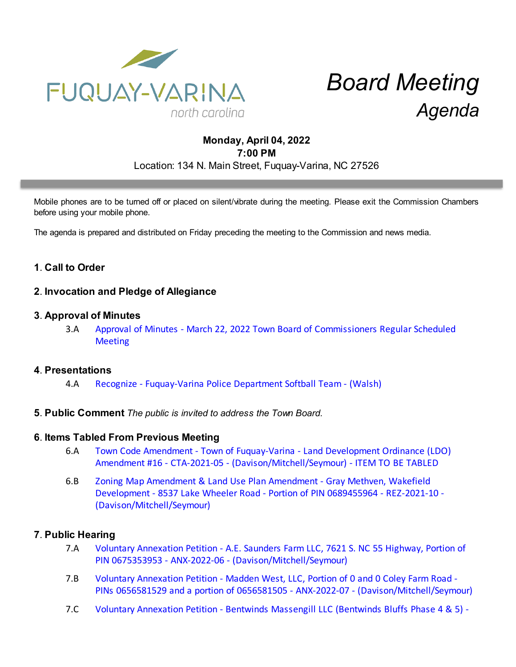

# *Board Meeting Agenda*

# **Monday, April 04, 2022 7:00 PM** Location: 134 N. Main Street, Fuquay-Varina, NC 27526

Mobile phones are to be turned off or placed on silent/vibrate during the meeting. Please exit the Commission Chambers before using your mobile phone.

The agenda is prepared and distributed on Friday preceding the meeting to the Commission and news media.

## **1**. **Call to Order**

## **2**. **Invocation and Pledge of Allegiance**

#### **3**. **Approval of Minutes**

3.A [Approval of Minutes - March 22, 2022 Town Board of Commissioners Regular Scheduled](https://d2kbkoa27fdvtw.cloudfront.net/fuquay-varina/ef5f3b51da1632fe0e929c3a81a38f630.pdf) **[Meeting](https://d2kbkoa27fdvtw.cloudfront.net/fuquay-varina/ef5f3b51da1632fe0e929c3a81a38f630.pdf)** 

#### **4**. **Presentations**

- 4.A [Recognize Fuquay-Varina Police Department Softball Team \(Walsh\)](https://d2kbkoa27fdvtw.cloudfront.net/fuquay-varina/75d8bdc2a8d24de7b33c8187a655ba010.pdf)
- **5**. **Public Comment** *The public is invited to address the Town Board.*

#### **6**. **Items Tabled From Previous Meeting**

- 6.A [Town Code Amendment Town of Fuquay-Varina Land Development Ordinance \(LDO\)](https://d2kbkoa27fdvtw.cloudfront.net/fuquay-varina/0e87e44627c241278478c3ea44767ced0.pdf) [Amendment #16 - CTA-2021-05 - \(Davison/Mitchell/Seymour\) - ITEM TO BE TABLED](https://d2kbkoa27fdvtw.cloudfront.net/fuquay-varina/0e87e44627c241278478c3ea44767ced0.pdf)
- 6.B [Zoning Map Amendment & Land Use Plan Amendment Gray Methven, Wakefield](https://d2kbkoa27fdvtw.cloudfront.net/fuquay-varina/0c0735080d8780bf78c416782e741eef0.pdf) [Development - 8537 Lake Wheeler Road - Portion of PIN 0689455964 - REZ-2021-10 -](https://d2kbkoa27fdvtw.cloudfront.net/fuquay-varina/0c0735080d8780bf78c416782e741eef0.pdf) [\(Davison/Mitchell/Seymour\)](https://d2kbkoa27fdvtw.cloudfront.net/fuquay-varina/0c0735080d8780bf78c416782e741eef0.pdf)

## **7**. **Public Hearing**

- 7.A [Voluntary Annexation Petition A.E. Saunders Farm LLC, 7621 S. NC 55 Highway, Portion of](https://d2kbkoa27fdvtw.cloudfront.net/fuquay-varina/0e3bf7c76741758a6115bd61a64649860.pdf) [PIN 0675353953 - ANX-2022-06 - \(Davison/Mitchell/Seymour\)](https://d2kbkoa27fdvtw.cloudfront.net/fuquay-varina/0e3bf7c76741758a6115bd61a64649860.pdf)
- 7.B [Voluntary Annexation Petition Madden West, LLC, Portion of 0 and 0 Coley Farm Road -](https://d2kbkoa27fdvtw.cloudfront.net/fuquay-varina/157dd58245ba2e86f456e1a26fd459dc0.pdf) [PINs 0656581529 and a portion of 0656581505 - ANX-2022-07 - \(Davison/Mitchell/Seymour\)](https://d2kbkoa27fdvtw.cloudfront.net/fuquay-varina/157dd58245ba2e86f456e1a26fd459dc0.pdf)
- 7.C [Voluntary Annexation Petition Bentwinds Massengill LLC \(Bentwinds Bluffs Phase 4 & 5\) -](https://d2kbkoa27fdvtw.cloudfront.net/fuquay-varina/571b9d16a85a3e6a73962fbfdc05b2eb0.pdf)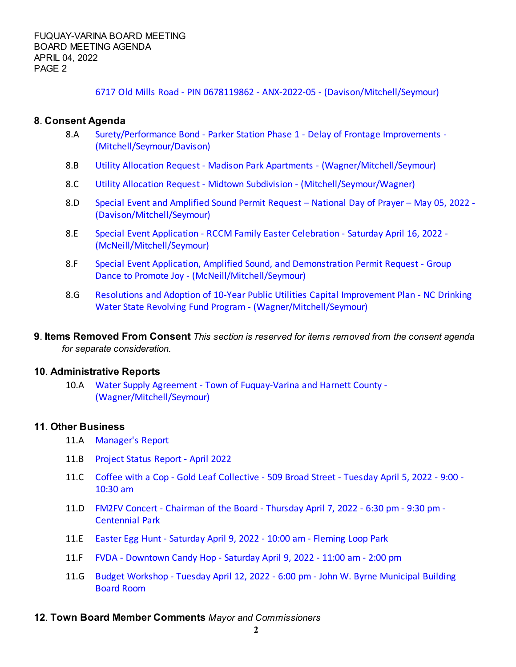[6717 Old Mills Road - PIN 0678119862 - ANX-2022-05 - \(Davison/Mitchell/Seymour\)](https://d2kbkoa27fdvtw.cloudfront.net/fuquay-varina/571b9d16a85a3e6a73962fbfdc05b2eb0.pdf)

## **8**. **Consent Agenda**

- 8.A [Surety/Performance Bond Parker Station Phase 1 Delay of Frontage Improvements -](https://d2kbkoa27fdvtw.cloudfront.net/fuquay-varina/3c82455b07d903954191c00c4e6624d90.pdf) [\(Mitchell/Seymour/Davison\)](https://d2kbkoa27fdvtw.cloudfront.net/fuquay-varina/3c82455b07d903954191c00c4e6624d90.pdf)
- 8.B [Utility Allocation Request Madison Park Apartments \(Wagner/Mitchell/Seymour\)](https://d2kbkoa27fdvtw.cloudfront.net/fuquay-varina/64d04129339c9101877f2021487b7fb80.pdf)
- 8.C [Utility Allocation Request Midtown Subdivision \(Mitchell/Seymour/Wagner\)](https://d2kbkoa27fdvtw.cloudfront.net/fuquay-varina/dd92721d480662e5a49aa5355c9f53c10.pdf)
- 8.D [Special Event and Amplified Sound Permit Request National Day of Prayer May 05, 2022 -](https://d2kbkoa27fdvtw.cloudfront.net/fuquay-varina/04e1d976e47c09a24ccf1afc8007ed640.pdf) [\(Davison/Mitchell/Seymour\)](https://d2kbkoa27fdvtw.cloudfront.net/fuquay-varina/04e1d976e47c09a24ccf1afc8007ed640.pdf)
- 8.E [Special Event Application RCCM Family Easter Celebration Saturday April 16, 2022 -](https://d2kbkoa27fdvtw.cloudfront.net/fuquay-varina/1b387998315a32f7a010ec2373d8b7590.pdf) [\(McNeill/Mitchell/Seymour\)](https://d2kbkoa27fdvtw.cloudfront.net/fuquay-varina/1b387998315a32f7a010ec2373d8b7590.pdf)
- 8.F [Special Event Application, Amplified Sound, and Demonstration Permit Request Group](https://d2kbkoa27fdvtw.cloudfront.net/fuquay-varina/c252f71c88d41237d91cdcff17b0463d0.pdf) [Dance to Promote Joy - \(McNeill/Mitchell/Seymour\)](https://d2kbkoa27fdvtw.cloudfront.net/fuquay-varina/c252f71c88d41237d91cdcff17b0463d0.pdf)
- 8.G [Resolutions and Adoption of 10-Year Public Utilities Capital Improvement Plan NC Drinking](https://d2kbkoa27fdvtw.cloudfront.net/fuquay-varina/b1631891e11da5ac769e8667606727850.pdf) [Water State Revolving Fund Program - \(Wagner/Mitchell/Seymour\)](https://d2kbkoa27fdvtw.cloudfront.net/fuquay-varina/b1631891e11da5ac769e8667606727850.pdf)
- **9**. **Items Removed From Consent** *This section is reserved for items removed from the consent agenda for separate consideration.*

## **10**. **Administrative Reports**

10.A [Water Supply Agreement - Town of Fuquay-Varina and Harnett County -](https://d2kbkoa27fdvtw.cloudfront.net/fuquay-varina/5e5da6da9b9ba3910e9257db47bd9db00.pdf) [\(Wagner/Mitchell/Seymour\)](https://d2kbkoa27fdvtw.cloudfront.net/fuquay-varina/5e5da6da9b9ba3910e9257db47bd9db00.pdf)

## **11**. **Other Business**

- 11.A [Manager's Report](https://d2kbkoa27fdvtw.cloudfront.net/fuquay-varina/389e4e16064ed942e9bbbca3d2d3ce110.pdf)
- 11.B [Project Status Report April 2022](https://d2kbkoa27fdvtw.cloudfront.net/fuquay-varina/b89c7cf98d1ed5357174c5438cc1b0da0.pdf)
- 11.C [Coffee with a Cop Gold Leaf Collective 509 Broad Street Tuesday April 5, 2022 9:00 -](https://d2kbkoa27fdvtw.cloudfront.net/fuquay-varina/7e15a88f09f041fd70f3be11c07edf020.pdf) [10:30 am](https://d2kbkoa27fdvtw.cloudfront.net/fuquay-varina/7e15a88f09f041fd70f3be11c07edf020.pdf)
- 11.D [FM2FV Concert Chairman of the Board Thursday April 7, 2022 6:30 pm 9:30 pm -](https://d2kbkoa27fdvtw.cloudfront.net/fuquay-varina/f145e1e61db6bb4ad5e9ff1ac14c74640.pdf) [Centennial Park](https://d2kbkoa27fdvtw.cloudfront.net/fuquay-varina/f145e1e61db6bb4ad5e9ff1ac14c74640.pdf)
- 11.E [Easter Egg Hunt Saturday April 9, 2022 10:00 am Fleming Loop Park](https://d2kbkoa27fdvtw.cloudfront.net/fuquay-varina/b7faffa307a97c03a847dff416bcb6270.pdf)
- 11.F [FVDA Downtown Candy Hop Saturday April 9, 2022 11:00 am 2:00 pm](https://d2kbkoa27fdvtw.cloudfront.net/fuquay-varina/9eee01fd8b57e608d59a2adc4988984f0.pdf)
- 11.G [Budget Workshop Tuesday April 12, 2022 6:00 pm John W. Byrne Municipal Building](https://d2kbkoa27fdvtw.cloudfront.net/fuquay-varina/cacee907f20200df295307d1bb817e7b0.pdf) [Board Room](https://d2kbkoa27fdvtw.cloudfront.net/fuquay-varina/cacee907f20200df295307d1bb817e7b0.pdf)

## **12**. **Town Board Member Comments** *Mayor and Commissioners*